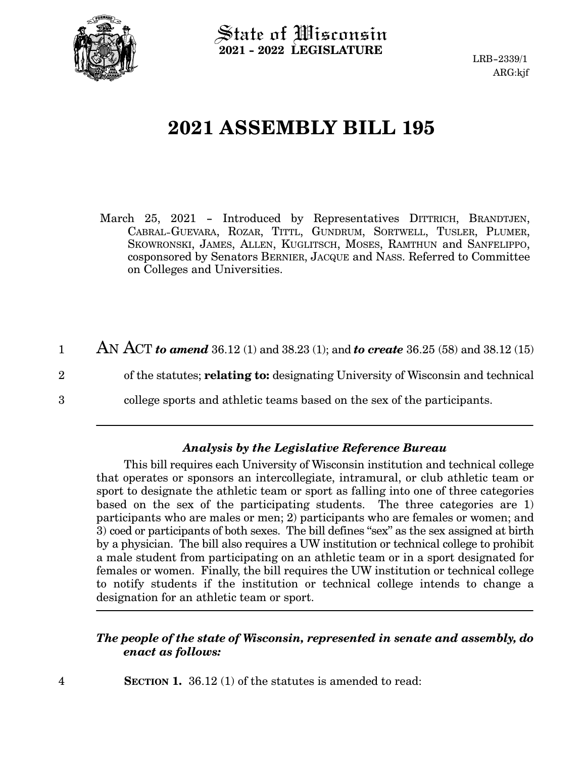

 $\operatorname{\mathsf{State}}$  of Wisconsin **2021 - 2022 LEGISLATURE**

# **2021 ASSEMBLY BILL 195**

- March 25, 2021 Introduced by Representatives DITTRICH, BRANDTJEN, CABRAL-GUEVARA, ROZAR, TITTL, GUNDRUM, SORTWELL, TUSLER, PLUMER, SKOWRONSKI, JAMES, ALLEN, KUGLITSCH, MOSES, RAMTHUN and SANFELIPPO, cosponsored by Senators BERNIER, JACQUE and NASS. Referred to Committee on Colleges and Universities.
- AN ACT *to amend* 36.12 (1) and 38.23 (1); and *to create* 36.25 (58) and 38.12 (15) of the statutes; **relating to:** designating University of Wisconsin and technical college sports and athletic teams based on the sex of the participants. 1 2 3

### *Analysis by the Legislative Reference Bureau*

This bill requires each University of Wisconsin institution and technical college that operates or sponsors an intercollegiate, intramural, or club athletic team or sport to designate the athletic team or sport as falling into one of three categories based on the sex of the participating students. The three categories are 1) participants who are males or men; 2) participants who are females or women; and 3) coed or participants of both sexes. The bill defines "sex" as the sex assigned at birth by a physician. The bill also requires a UW institution or technical college to prohibit a male student from participating on an athletic team or in a sport designated for females or women. Finally, the bill requires the UW institution or technical college to notify students if the institution or technical college intends to change a designation for an athletic team or sport.

### *The people of the state of Wisconsin, represented in senate and assembly, do enact as follows:*

**SECTION 1.** 36.12 (1) of the statutes is amended to read: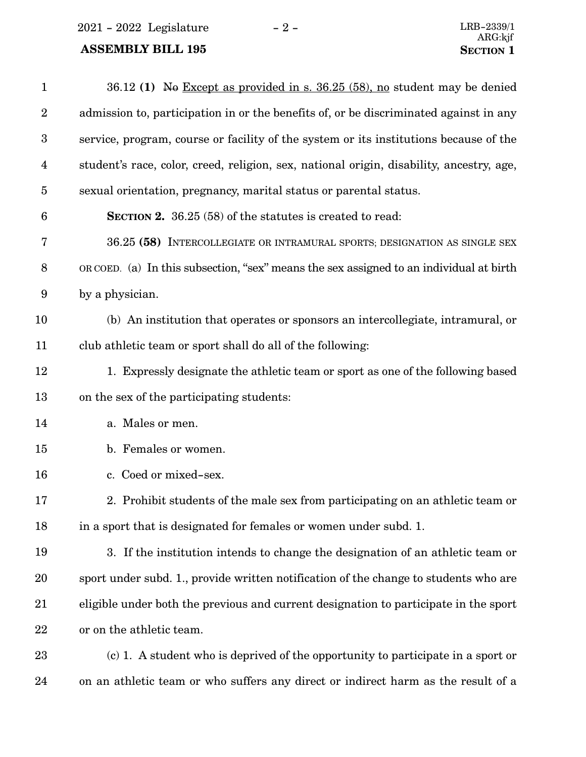$2021 - 2022$  Legislature  $-2 -$  LRB-2339/1

# **ASSEMBLY BILL 195 SECTION** 1

24

| $\mathbf{1}$            | 36.12 (1) No Except as provided in s. $36.25$ (58), no student may be denied             |
|-------------------------|------------------------------------------------------------------------------------------|
| $\overline{2}$          | admission to, participation in or the benefits of, or be discriminated against in any    |
| $\boldsymbol{3}$        | service, program, course or facility of the system or its institutions because of the    |
| $\overline{\mathbf{4}}$ | student's race, color, creed, religion, sex, national origin, disability, ancestry, age, |
| $\overline{5}$          | sexual orientation, pregnancy, marital status or parental status.                        |
| $6\phantom{.}6$         | SECTION 2. 36.25 (58) of the statutes is created to read:                                |
| $\bf 7$                 | 36.25 (58) INTERCOLLEGIATE OR INTRAMURAL SPORTS; DESIGNATION AS SINGLE SEX               |
| $8\,$                   | OR COED. (a) In this subsection, "sex" means the sex assigned to an individual at birth  |
| 9                       | by a physician.                                                                          |
| 10                      | (b) An institution that operates or sponsors an intercollegiate, intramural, or          |
| 11                      | club athletic team or sport shall do all of the following:                               |
| 12                      | 1. Expressly designate the athletic team or sport as one of the following based          |
| 13                      | on the sex of the participating students:                                                |
| 14                      | a. Males or men.                                                                         |
| 15                      | b. Females or women.                                                                     |
| 16                      | c. Coed or mixed-sex.                                                                    |
| 17                      | 2. Prohibit students of the male sex from participating on an athletic team or           |
| 18                      | in a sport that is designated for females or women under subd. 1.                        |
| 19                      | 3. If the institution intends to change the designation of an athletic team or           |
| 20                      | sport under subd. 1., provide written notification of the change to students who are     |
| 21                      | eligible under both the previous and current designation to participate in the sport     |
| 22                      | or on the athletic team.                                                                 |
| 23                      | (c) 1. A student who is deprived of the opportunity to participate in a sport or         |
|                         |                                                                                          |

on an athletic team or who suffers any direct or indirect harm as the result of a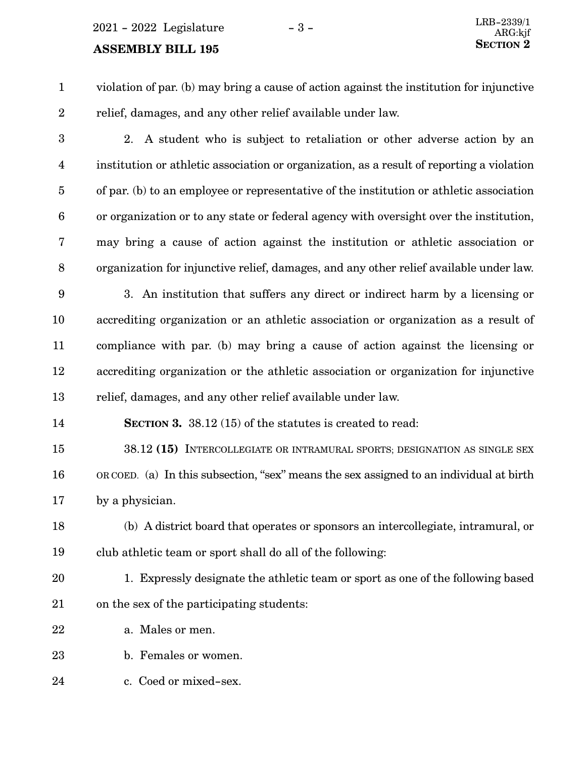# **SECTION** 2 **2**

violation of par. (b) may bring a cause of action against the institution for injunctive relief, damages, and any other relief available under law. 1 2

2. A student who is subject to retaliation or other adverse action by an institution or athletic association or organization, as a result of reporting a violation of par. (b) to an employee or representative of the institution or athletic association or organization or to any state or federal agency with oversight over the institution, may bring a cause of action against the institution or athletic association or organization for injunctive relief, damages, and any other relief available under law. 3 4 5 6 7 8

3. An institution that suffers any direct or indirect harm by a licensing or accrediting organization or an athletic association or organization as a result of compliance with par. (b) may bring a cause of action against the licensing or accrediting organization or the athletic association or organization for injunctive relief, damages, and any other relief available under law. 9 10 11 12 13

**SECTION 3.** 38.12 (15) of the statutes is created to read: 14

38.12 **(15)** INTERCOLLEGIATE OR INTRAMURAL SPORTS; DESIGNATION AS SINGLE SEX OR COED. (a) In this subsection, "sex" means the sex assigned to an individual at birth by a physician. 15 16 17

(b) A district board that operates or sponsors an intercollegiate, intramural, or club athletic team or sport shall do all of the following: 18 19

- 1. Expressly designate the athletic team or sport as one of the following based on the sex of the participating students: 20 21
- a. Males or men. 22

b. Females or women. 23

c. Coed or mixed-sex. 24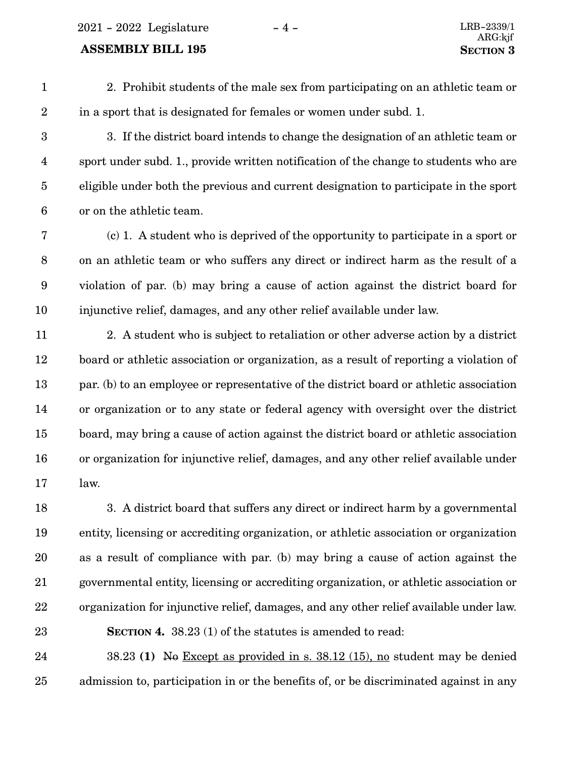2021 - 2022 Legislature - 4 - LRB-2339/1

#### **ASSEMBLY BILL 195 SECTION** 3

2. Prohibit students of the male sex from participating on an athletic team or in a sport that is designated for females or women under subd. 1. 1 2

3. If the district board intends to change the designation of an athletic team or sport under subd. 1., provide written notification of the change to students who are eligible under both the previous and current designation to participate in the sport or on the athletic team. 3 4 5 6

(c) 1. A student who is deprived of the opportunity to participate in a sport or on an athletic team or who suffers any direct or indirect harm as the result of a violation of par. (b) may bring a cause of action against the district board for injunctive relief, damages, and any other relief available under law. 7 8 9 10

2. A student who is subject to retaliation or other adverse action by a district board or athletic association or organization, as a result of reporting a violation of par. (b) to an employee or representative of the district board or athletic association or organization or to any state or federal agency with oversight over the district board, may bring a cause of action against the district board or athletic association or organization for injunctive relief, damages, and any other relief available under law. 11 12 13 14 15 16 17

3. A district board that suffers any direct or indirect harm by a governmental entity, licensing or accrediting organization, or athletic association or organization as a result of compliance with par. (b) may bring a cause of action against the governmental entity, licensing or accrediting organization, or athletic association or organization for injunctive relief, damages, and any other relief available under law. **SECTION 4.** 38.23 (1) of the statutes is amended to read: 18 19 20 21 22 23

38.23 **(1)** No Except as provided in s. 38.12 (15), no student may be denied admission to, participation in or the benefits of, or be discriminated against in any 24 25